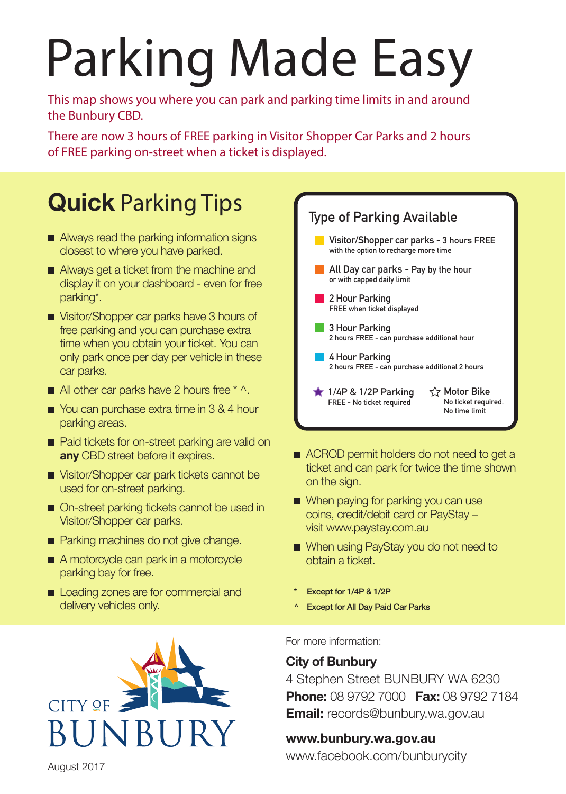## Parking Made Easy

This map shows you where you can park and parking time limits in and around the Bunbury CBD.

There are now 3 hours of FREE parking in Visitor Shopper Car Parks and 2 hours of FREE parking on-street when a ticket is displayed.

## **Quick** Parking Tips

- Always read the parking information signs closest to where you have parked.
- Always get a ticket from the machine and display it on your dashboard - even for free parking\*.
- Visitor/Shopper car parks have 3 hours of free parking and you can purchase extra time when you obtain your ticket. You can only park once per day per vehicle in these car parks.
- $\blacksquare$  All other car parks have 2 hours free  $* \wedge$ .
- You can purchase extra time in 3 & 4 hour parking areas.
- Paid tickets for on-street parking are valid on **any** CBD street before it expires.
- Visitor/Shopper car park tickets cannot be used for on-street parking.
- On-street parking tickets cannot be used in Visitor/Shopper car parks.
- **Parking machines do not give change.**
- A motorcycle can park in a motorcycle parking bay for free.
- Loading zones are for commercial and delivery vehicles only.





- ACROD permit holders do not need to get a ticket and can park for twice the time shown on the sign.
- When paying for parking you can use coins, credit/debit card or PayStay – visit www.paystay.com.au
- When using PayStay you do not need to obtain a ticket.
- \* Except for 1/4P & 1/2P
- ^ Except for All Day Paid Car Parks

For more information:

## **City of Bunbury**

4 Stephen Street BUNBURY WA 6230 **Phone:** 08 9792 7000 **Fax:** 08 9792 7184 **Email:** records@bunbury.wa.gov.au

## **www.bunbury.wa.gov.au**

www.facebook.com/bunburycity